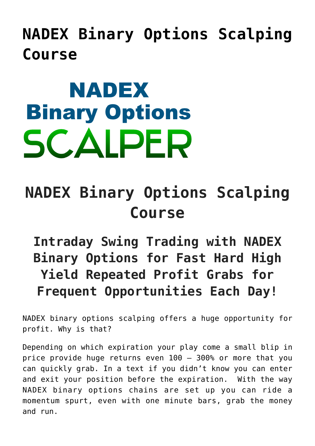**[NADEX Binary Options Scalping](https://binaryoptionsauthority.com/nadex-binary-options-scalping-course/) [Course](https://binaryoptionsauthority.com/nadex-binary-options-scalping-course/)**

## **NADEX Binary Options SCALPER**

## **NADEX Binary Options Scalping Course**

**Intraday Swing Trading with NADEX Binary Options for Fast Hard High Yield Repeated Profit Grabs for Frequent Opportunities Each Day!**

NADEX binary options scalping offers a huge opportunity for profit. Why is that?

Depending on which expiration your play come a small blip in price provide huge returns even 100 – 300% or more that you can quickly grab. In a text if you didn't know you can enter and exit your position before the expiration. With the way NADEX binary options chains are set up you can ride a momentum spurt, even with one minute bars, grab the money and run.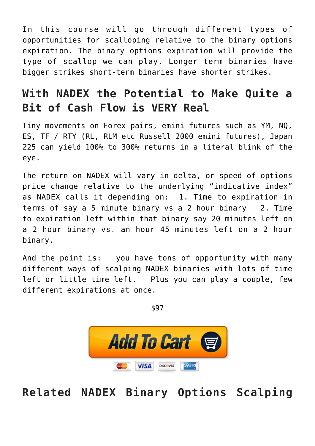In this course will go through different types of opportunities for scalloping relative to the binary options expiration. The binary options expiration will provide the type of scallop we can play. Longer term binaries have bigger strikes short-term binaries have shorter strikes.

## **With NADEX the Potential to Make Quite a Bit of Cash Flow is VERY Real**

Tiny movements on Forex pairs, emini futures such as YM, NQ, ES, TF / RTY (RL, RLM etc Russell 2000 emini futures), Japan 225 can yield 100% to 300% returns in a literal blink of the eye.

The return on NADEX will vary in delta, or speed of options price change relative to the underlying "indicative index" as NADEX calls it depending on: 1. Time to expiration in terms of say a 5 minute binary vs a 2 hour binary 2. Time to expiration left within that binary say 20 minutes left on a 2 hour binary vs. an hour 45 minutes left on a 2 hour binary.

And the point is: you have tons of opportunity with many different ways of scalping NADEX binaries with lots of time left or little time left. Plus you can play a couple, few different expirations at once.

\$97



**Related NADEX Binary Options Scalping**